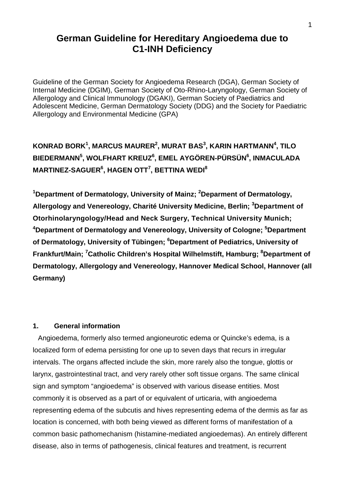# **German Guideline for Hereditary Angioedema due to C1-INH Deficiency**

Guideline of the German Society for Angioedema Research (DGA), German Society of Internal Medicine (DGIM), German Society of Oto-Rhino-Laryngology, German Society of Allergology and Clinical Immunology (DGAKI), German Society of Paediatrics and Adolescent Medicine, German Dermatology Society (DDG) and the Society for Paediatric Allergology and Environmental Medicine (GPA)

# **KONRAD BORK1 , MARCUS MAURER2 , MURAT BAS<sup>3</sup> , KARIN HARTMANN4 , TILO BIEDERMANN5 , WOLFHART KREUZ6 , EMEL AYGÖREN-PÜRSÜN6 , INMACULADA MARTINEZ-SAGUER6 , HAGEN OTT7 , BETTINA WEDI<sup>8</sup>**

<sup>1</sup>Department of Dermatology, University of Mainz; <sup>2</sup>Deparment of Dermatology, **Allergology and Venereology, Charité University Medicine, Berlin; 3 Department of Otorhinolaryngology/Head and Neck Surgery, Technical University Munich;**  <sup>4</sup>Department of Dermatology and Venereology, University of Cologne; <sup>5</sup>Department of Dermatology, University of Tübingen; <sup>6</sup>Department of Pediatrics, University of **Frankfurt/Main; <sup>7</sup> Catholic Children's Hospital Wilhelmstift, Hamburg; 8 Department of Dermatology, Allergology and Venereology, Hannover Medical School, Hannover (all Germany)**

## **1. General information**

Angioedema, formerly also termed angioneurotic edema or Quincke's edema, is a localized form of edema persisting for one up to seven days that recurs in irregular intervals. The organs affected include the skin, more rarely also the tongue, glottis or larynx, gastrointestinal tract, and very rarely other soft tissue organs. The same clinical sign and symptom "angioedema" is observed with various disease entities. Most commonly it is observed as a part of or equivalent of urticaria, with angioedema representing edema of the subcutis and hives representing edema of the dermis as far as location is concerned, with both being viewed as different forms of manifestation of a common basic pathomechanism (histamine-mediated angioedemas). An entirely different disease, also in terms of pathogenesis, clinical features and treatment, is recurrent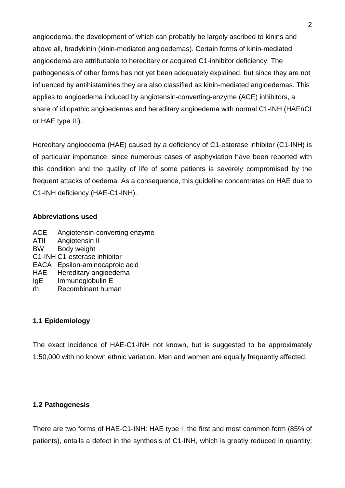angioedema, the development of which can probably be largely ascribed to kinins and above all, bradykinin (kinin-mediated angioedemas). Certain forms of kinin-mediated angioedema are attributable to hereditary or acquired C1-inhibitor deficiency. The pathogenesis of other forms has not yet been adequately explained, but since they are not influenced by antihistamines they are also classified as kinin-mediated angioedemas. This applies to angioedema induced by angiotensin-converting-enzyme (ACE) inhibitors, a share of idiopathic angioedemas and hereditary angioedema with normal C1-INH (HAEnCI or HAE type III).

Hereditary angioedema (HAE) caused by a deficiency of C1-esterase inhibitor (C1-INH) is of particular importance, since numerous cases of asphyxiation have been reported with this condition and the quality of life of some patients is severely compromised by the frequent attacks of oedema. As a consequence, this guideline concentrates on HAE due to C1-INH deficiency (HAE-C1-INH).

#### **Abbreviations used**

- ACE Angiotensin-converting enzyme
- ATII Angiotensin II
- BW Body weight
- C1-INH C1-esterase inhibitor
- EACA Epsilon-aminocaproic acid
- HAE Hereditary angioedema
- IgE Immunoglobulin E<br>
rh Recombinant hum
- Recombinant human

# **1.1 Epidemiology**

The exact incidence of HAE-C1-INH not known, but is suggested to be approximately 1:50,000 with no known ethnic variation. Men and women are equally frequently affected.

## **1.2 Pathogenesis**

There are two forms of HAE-C1-INH: HAE type I, the first and most common form (85% of patients), entails a defect in the synthesis of C1-INH, which is greatly reduced in quantity;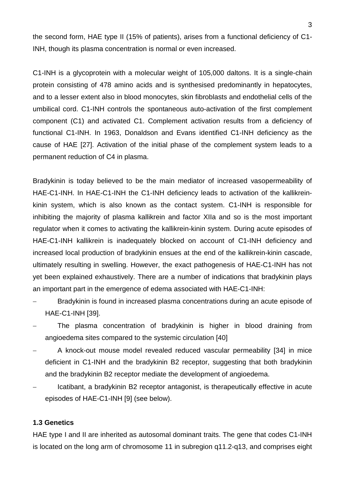the second form, HAE type II (15% of patients), arises from a functional deficiency of C1- INH, though its plasma concentration is normal or even increased.

C1-INH is a glycoprotein with a molecular weight of 105,000 daltons. It is a single-chain protein consisting of 478 amino acids and is synthesised predominantly in hepatocytes, and to a lesser extent also in blood monocytes, skin fibroblasts and endothelial cells of the umbilical cord. C1-INH controls the spontaneous auto-activation of the first complement component (C1) and activated C1. Complement activation results from a deficiency of functional C1-INH. In 1963, Donaldson and Evans identified C1-INH deficiency as the cause of HAE [27]. Activation of the initial phase of the complement system leads to a permanent reduction of C4 in plasma.

Bradykinin is today believed to be the main mediator of increased vasopermeability of HAE-C1-INH. In HAE-C1-INH the C1-INH deficiency leads to activation of the kallikreinkinin system, which is also known as the contact system. C1-INH is responsible for inhibiting the majority of plasma kallikrein and factor XIIa and so is the most important regulator when it comes to activating the kallikrein-kinin system. During acute episodes of HAE-C1-INH kallikrein is inadequately blocked on account of C1-INH deficiency and increased local production of bradykinin ensues at the end of the kallikrein-kinin cascade, ultimately resulting in swelling. However, the exact pathogenesis of HAE-C1-INH has not yet been explained exhaustively. There are a number of indications that bradykinin plays an important part in the emergence of edema associated with HAE-C1-INH:

- Bradykinin is found in increased plasma concentrations during an acute episode of HAE-C1-INH [39].
- The plasma concentration of bradykinin is higher in blood draining from angioedema sites compared to the systemic circulation [40]
- − A knock-out mouse model revealed reduced vascular permeability [34] in mice deficient in C1-INH and the bradykinin B2 receptor, suggesting that both bradykinin and the bradykinin B2 receptor mediate the development of angioedema.
- − Icatibant, a bradykinin B2 receptor antagonist, is therapeutically effective in acute episodes of HAE-C1-INH [9] (see below).

#### **1.3 Genetics**

HAE type I and II are inherited as autosomal dominant traits. The gene that codes C1-INH is located on the long arm of chromosome 11 in subregion q11.2-q13, and comprises eight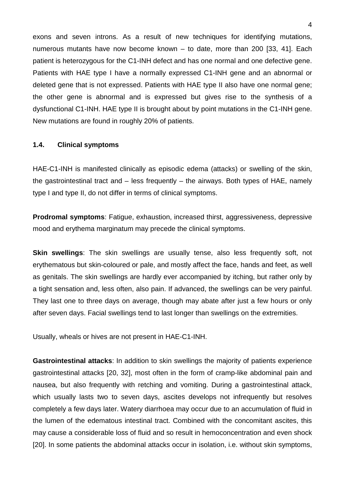exons and seven introns. As a result of new techniques for identifying mutations, numerous mutants have now become known – to date, more than 200 [33, 41]. Each patient is heterozygous for the C1-INH defect and has one normal and one defective gene. Patients with HAE type I have a normally expressed C1-INH gene and an abnormal or deleted gene that is not expressed. Patients with HAE type II also have one normal gene; the other gene is abnormal and is expressed but gives rise to the synthesis of a dysfunctional C1-INH. HAE type II is brought about by point mutations in the C1-INH gene. New mutations are found in roughly 20% of patients.

#### **1.4. Clinical symptoms**

HAE-C1-INH is manifested clinically as episodic edema (attacks) or swelling of the skin, the gastrointestinal tract and  $-$  less frequently  $-$  the airways. Both types of HAE, namely type I and type II, do not differ in terms of clinical symptoms.

**Prodromal symptoms**: Fatigue, exhaustion, increased thirst, aggressiveness, depressive mood and erythema marginatum may precede the clinical symptoms.

**Skin swellings**: The skin swellings are usually tense, also less frequently soft, not erythematous but skin-coloured or pale, and mostly affect the face, hands and feet, as well as genitals. The skin swellings are hardly ever accompanied by itching, but rather only by a tight sensation and, less often, also pain. If advanced, the swellings can be very painful. They last one to three days on average, though may abate after just a few hours or only after seven days. Facial swellings tend to last longer than swellings on the extremities.

Usually, wheals or hives are not present in HAE-C1-INH.

**Gastrointestinal attacks**: In addition to skin swellings the majority of patients experience gastrointestinal attacks [20, 32], most often in the form of cramp-like abdominal pain and nausea, but also frequently with retching and vomiting. During a gastrointestinal attack, which usually lasts two to seven days, ascites develops not infrequently but resolves completely a few days later. Watery diarrhoea may occur due to an accumulation of fluid in the lumen of the edematous intestinal tract. Combined with the concomitant ascites, this may cause a considerable loss of fluid and so result in hemoconcentration and even shock [20]. In some patients the abdominal attacks occur in isolation, i.e. without skin symptoms,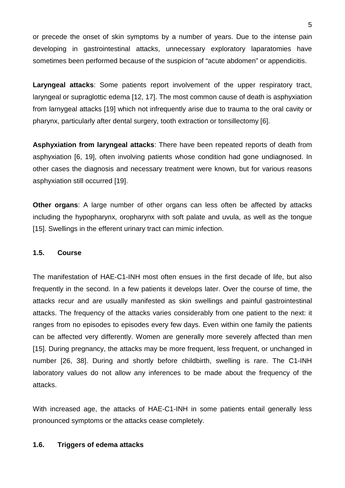or precede the onset of skin symptoms by a number of years. Due to the intense pain developing in gastrointestinal attacks, unnecessary exploratory laparatomies have sometimes been performed because of the suspicion of "acute abdomen" or appendicitis.

**Laryngeal attacks**: Some patients report involvement of the upper respiratory tract, laryngeal or supraglottic edema [12, 17]. The most common cause of death is asphyxiation from larnygeal attacks [19] which not infrequently arise due to trauma to the oral cavity or pharynx, particularly after dental surgery, tooth extraction or tonsillectomy [6].

**Asphyxiation from laryngeal attacks**: There have been repeated reports of death from asphyxiation [6, 19], often involving patients whose condition had gone undiagnosed. In other cases the diagnosis and necessary treatment were known, but for various reasons asphyxiation still occurred [19].

**Other organs**: A large number of other organs can less often be affected by attacks including the hypopharynx, oropharynx with soft palate and uvula, as well as the tongue [15]. Swellings in the efferent urinary tract can mimic infection.

## **1.5. Course**

The manifestation of HAE-C1-INH most often ensues in the first decade of life, but also frequently in the second. In a few patients it develops later. Over the course of time, the attacks recur and are usually manifested as skin swellings and painful gastrointestinal attacks. The frequency of the attacks varies considerably from one patient to the next: it ranges from no episodes to episodes every few days. Even within one family the patients can be affected very differently. Women are generally more severely affected than men [15]. During pregnancy, the attacks may be more frequent, less frequent, or unchanged in number [26, 38]. During and shortly before childbirth, swelling is rare. The C1-INH laboratory values do not allow any inferences to be made about the frequency of the attacks.

With increased age, the attacks of HAE-C1-INH in some patients entail generally less pronounced symptoms or the attacks cease completely.

#### **1.6. Triggers of edema attacks**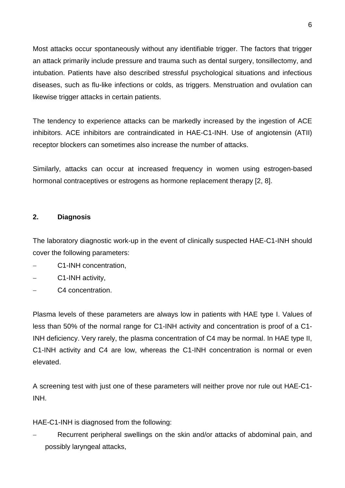Most attacks occur spontaneously without any identifiable trigger. The factors that trigger an attack primarily include pressure and trauma such as dental surgery, tonsillectomy, and intubation. Patients have also described stressful psychological situations and infectious diseases, such as flu-like infections or colds, as triggers. Menstruation and ovulation can likewise trigger attacks in certain patients.

The tendency to experience attacks can be markedly increased by the ingestion of ACE inhibitors. ACE inhibitors are contraindicated in HAE-C1-INH. Use of angiotensin (ATII) receptor blockers can sometimes also increase the number of attacks.

Similarly, attacks can occur at increased frequency in women using estrogen-based hormonal contraceptives or estrogens as hormone replacement therapy [2, 8].

# **2. Diagnosis**

The laboratory diagnostic work-up in the event of clinically suspected HAE-C1-INH should cover the following parameters:

- − C1-INH concentration,
- − C1-INH activity,
- − C4 concentration.

Plasma levels of these parameters are always low in patients with HAE type I. Values of less than 50% of the normal range for C1-INH activity and concentration is proof of a C1- INH deficiency. Very rarely, the plasma concentration of C4 may be normal. In HAE type II, C1-INH activity and C4 are low, whereas the C1-INH concentration is normal or even elevated.

A screening test with just one of these parameters will neither prove nor rule out HAE-C1- INH.

HAE-C1-INH is diagnosed from the following:

Recurrent peripheral swellings on the skin and/or attacks of abdominal pain, and possibly laryngeal attacks,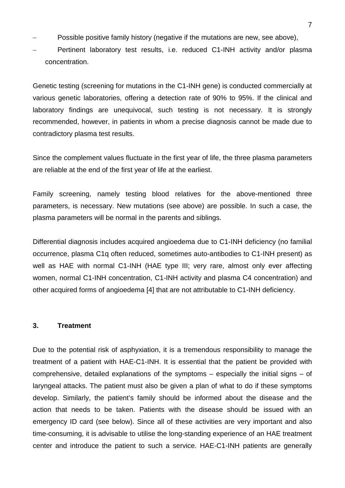- Possible positive family history (negative if the mutations are new, see above),
- − Pertinent laboratory test results, i.e. reduced C1-INH activity and/or plasma concentration.

Genetic testing (screening for mutations in the C1-INH gene) is conducted commercially at various genetic laboratories, offering a detection rate of 90% to 95%. If the clinical and laboratory findings are unequivocal, such testing is not necessary. It is strongly recommended, however, in patients in whom a precise diagnosis cannot be made due to contradictory plasma test results.

Since the complement values fluctuate in the first year of life, the three plasma parameters are reliable at the end of the first year of life at the earliest.

Family screening, namely testing blood relatives for the above-mentioned three parameters, is necessary. New mutations (see above) are possible. In such a case, the plasma parameters will be normal in the parents and siblings.

Differential diagnosis includes acquired angioedema due to C1-INH deficiency (no familial occurrence, plasma C1q often reduced, sometimes auto-antibodies to C1-INH present) as well as HAE with normal C1-INH (HAE type III; very rare, almost only ever affecting women, normal C1-INH concentration, C1-INH activity and plasma C4 concentration) and other acquired forms of angioedema [4] that are not attributable to C1-INH deficiency.

#### **3. Treatment**

Due to the potential risk of asphyxiation, it is a tremendous responsibility to manage the treatment of a patient with HAE-C1-INH. It is essential that the patient be provided with comprehensive, detailed explanations of the symptoms – especially the initial signs – of laryngeal attacks. The patient must also be given a plan of what to do if these symptoms develop. Similarly, the patient's family should be informed about the disease and the action that needs to be taken. Patients with the disease should be issued with an emergency ID card (see below). Since all of these activities are very important and also time-consuming, it is advisable to utilise the long-standing experience of an HAE treatment center and introduce the patient to such a service. HAE-C1-INH patients are generally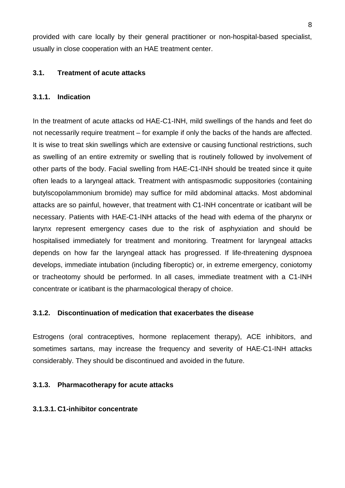provided with care locally by their general practitioner or non-hospital-based specialist, usually in close cooperation with an HAE treatment center.

# **3.1. Treatment of acute attacks**

### **3.1.1. Indication**

In the treatment of acute attacks od HAE-C1-INH, mild swellings of the hands and feet do not necessarily require treatment – for example if only the backs of the hands are affected. It is wise to treat skin swellings which are extensive or causing functional restrictions, such as swelling of an entire extremity or swelling that is routinely followed by involvement of other parts of the body. Facial swelling from HAE-C1-INH should be treated since it quite often leads to a laryngeal attack. Treatment with antispasmodic suppositories (containing butylscopolammonium bromide) may suffice for mild abdominal attacks. Most abdominal attacks are so painful, however, that treatment with C1-INH concentrate or icatibant will be necessary. Patients with HAE-C1-INH attacks of the head with edema of the pharynx or larynx represent emergency cases due to the risk of asphyxiation and should be hospitalised immediately for treatment and monitoring. Treatment for laryngeal attacks depends on how far the laryngeal attack has progressed. If life-threatening dyspnoea develops, immediate intubation (including fiberoptic) or, in extreme emergency, coniotomy or tracheotomy should be performed. In all cases, immediate treatment with a C1-INH concentrate or icatibant is the pharmacological therapy of choice.

## **3.1.2. Discontinuation of medication that exacerbates the disease**

Estrogens (oral contraceptives, hormone replacement therapy), ACE inhibitors, and sometimes sartans, may increase the frequency and severity of HAE-C1-INH attacks considerably. They should be discontinued and avoided in the future.

## **3.1.3. Pharmacotherapy for acute attacks**

#### **3.1.3.1. C1-inhibitor concentrate**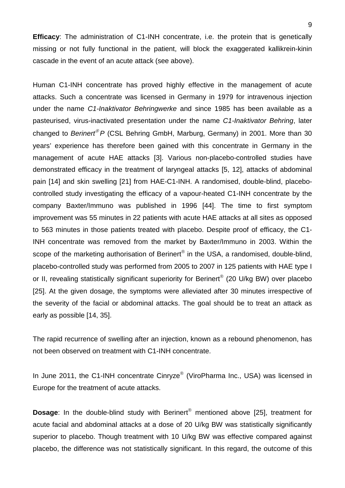**Efficacy**: The administration of C1-INH concentrate, i.e. the protein that is genetically missing or not fully functional in the patient, will block the exaggerated kallikrein-kinin cascade in the event of an acute attack (see above).

Human C1-INH concentrate has proved highly effective in the management of acute attacks. Such a concentrate was licensed in Germany in 1979 for intravenous injection under the name *C1-Inaktivator Behringwerke* and since 1985 has been available as a pasteurised, virus-inactivated presentation under the name *C1-Inaktivator Behring*, later changed to *Berinert<sup>®</sup> P* (CSL Behring GmbH, Marburg, Germany) in 2001. More than 30 years' experience has therefore been gained with this concentrate in Germany in the management of acute HAE attacks [3]. Various non-placebo-controlled studies have demonstrated efficacy in the treatment of laryngeal attacks [5, 12], attacks of abdominal pain [14] and skin swelling [21] from HAE-C1-INH. A randomised, double-blind, placebocontrolled study investigating the efficacy of a vapour-heated C1-INH concentrate by the company Baxter/Immuno was published in 1996 [44]. The time to first symptom improvement was 55 minutes in 22 patients with acute HAE attacks at all sites as opposed to 563 minutes in those patients treated with placebo. Despite proof of efficacy, the C1- INH concentrate was removed from the market by Baxter/Immuno in 2003. Within the scope of the marketing authorisation of Berinert<sup>®</sup> in the USA, a randomised, double-blind, placebo-controlled study was performed from 2005 to 2007 in 125 patients with HAE type I or II, revealing statistically significant superiority for Berinert<sup>®</sup> (20 U/kg BW) over placebo [25]. At the given dosage, the symptoms were alleviated after 30 minutes irrespective of the severity of the facial or abdominal attacks. The goal should be to treat an attack as early as possible [14, 35].

The rapid recurrence of swelling after an injection, known as a rebound phenomenon, has not been observed on treatment with C1-INH concentrate.

In June 2011, the C1-INH concentrate Cinryze<sup>®</sup> (ViroPharma Inc., USA) was licensed in Europe for the treatment of acute attacks.

**Dosage:** In the double-blind study with Berinert<sup>®</sup> mentioned above [25], treatment for acute facial and abdominal attacks at a dose of 20 U/kg BW was statistically significantly superior to placebo. Though treatment with 10 U/kg BW was effective compared against placebo, the difference was not statistically significant. In this regard, the outcome of this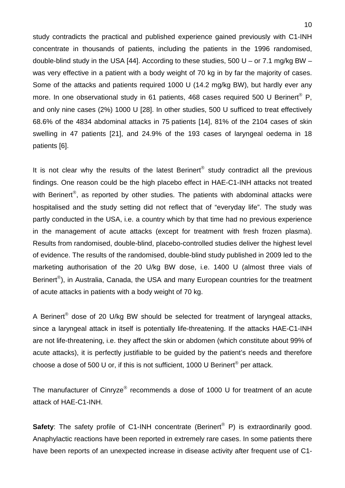study contradicts the practical and published experience gained previously with C1-INH concentrate in thousands of patients, including the patients in the 1996 randomised, double-blind study in the USA [44]. According to these studies, 500 U – or 7.1 mg/kg BW – was very effective in a patient with a body weight of 70 kg in by far the majority of cases. Some of the attacks and patients required 1000 U (14.2 mg/kg BW), but hardly ever any more. In one observational study in 61 patients, 468 cases required 500 U Berinert<sup>®</sup> P, and only nine cases (2%) 1000 U [28]. In other studies, 500 U sufficed to treat effectively 68.6% of the 4834 abdominal attacks in 75 patients [14], 81% of the 2104 cases of skin swelling in 47 patients [21], and 24.9% of the 193 cases of laryngeal oedema in 18 patients [6].

It is not clear why the results of the latest Berinert<sup>®</sup> study contradict all the previous findings. One reason could be the high placebo effect in HAE-C1-INH attacks not treated with Berinert<sup>®</sup>, as reported by other studies. The patients with abdominal attacks were hospitalised and the study setting did not reflect that of "everyday life". The study was partly conducted in the USA, i.e. a country which by that time had no previous experience in the management of acute attacks (except for treatment with fresh frozen plasma). Results from randomised, double-blind, placebo-controlled studies deliver the highest level of evidence. The results of the randomised, double-blind study published in 2009 led to the marketing authorisation of the 20 U/kg BW dose, i.e. 1400 U (almost three vials of Berinert<sup>®</sup>), in Australia, Canada, the USA and many European countries for the treatment of acute attacks in patients with a body weight of 70 kg.

A Berinert<sup>®</sup> dose of 20 U/kg BW should be selected for treatment of laryngeal attacks, since a laryngeal attack in itself is potentially life-threatening. If the attacks HAE-C1-INH are not life-threatening, i.e. they affect the skin or abdomen (which constitute about 99% of acute attacks), it is perfectly justifiable to be guided by the patient's needs and therefore choose a dose of 500 U or, if this is not sufficient, 1000 U Berinert<sup>®</sup> per attack.

The manufacturer of Cinryze<sup>®</sup> recommends a dose of 1000 U for treatment of an acute attack of HAE-C1-INH.

**Safety**: The safety profile of C1-INH concentrate (Berinert<sup>®</sup> P) is extraordinarily good. Anaphylactic reactions have been reported in extremely rare cases. In some patients there have been reports of an unexpected increase in disease activity after frequent use of C1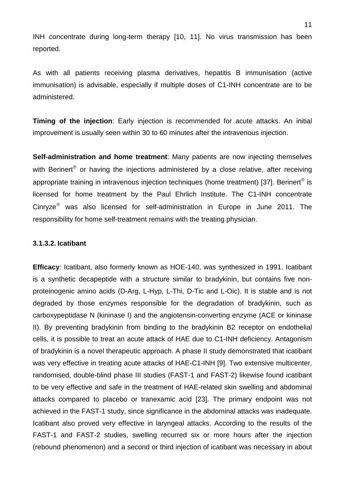INH concentrate during long-term therapy [10, 11]. No virus transmission has been reported.

As with all patients receiving plasma derivatives, hepatitis B immunisation (active immunisation) is advisable, especially if multiple doses of C1-INH concentrate are to be administered.

**Timing of the injection**: Early injection is recommended for acute attacks. An initial improvement is usually seen within 30 to 60 minutes after the intravenous injection.

**Self-administration and home treatment**: Many patients are now injecting themselves with Berinert<sup>®</sup> or having the injections administered by a close relative, after receiving appropriate training in intravenous injection techniques (home treatment) [37]. Berinert<sup>®</sup> is licensed for home treatment by the Paul Ehrlich Institute. The C1-INH concentrate Cinryze $^{\circ}$  was also licensed for self-administration in Europe in June 2011. The responsibility for home self-treatment remains with the treating physician.

#### **3.1.3.2. Icatibant**

**Efficacy**: Icatibant, also formerly known as HOE-140, was synthesized in 1991. Icatibant is a synthetic decapeptide with a structure similar to bradykinin, but contains five nonproteinogenic amino acids (D-Arg, L-Hyp, L-Thi, D-Tic and L-Oic). It is stable and is not degraded by those enzymes responsible for the degradation of bradykinin, such as carboxypeptidase N (kininase I) and the angiotensin-converting enzyme (ACE or kininase II). By preventing bradykinin from binding to the bradykinin B2 receptor on endothelial cells, it is possible to treat an acute attack of HAE due to C1-INH deficiency. Antagonism of bradykinin is a novel therapeutic approach. A phase II study demonstrated that icatibant was very effective in treating acute attacks of HAE-C1-INH [9]. Two extensive multicenter, randomised, double-blind phase III studies (FAST-1 and FAST-2) likewise found icatibant to be very effective and safe in the treatment of HAE-related skin swelling and abdominal attacks compared to placebo or tranexamic acid [23]. The primary endpoint was not achieved in the FAST-1 study, since significance in the abdominal attacks was inadequate. Icatibant also proved very effective in laryngeal attacks. According to the results of the FAST-1 and FAST-2 studies, swelling recurred six or more hours after the injection (rebound phenomenon) and a second or third injection of icatibant was necessary in about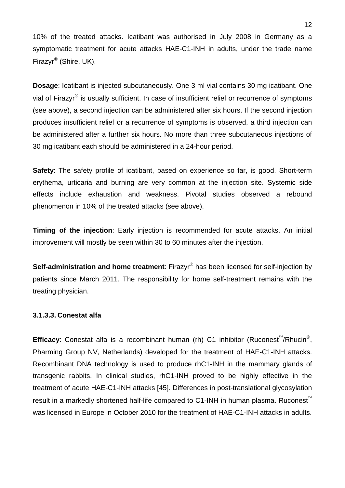10% of the treated attacks. Icatibant was authorised in July 2008 in Germany as a symptomatic treatment for acute attacks HAE-C1-INH in adults, under the trade name Firazyr<sup>®</sup> (Shire, UK).

**Dosage**: Icatibant is injected subcutaneously. One 3 ml vial contains 30 mg icatibant. One vial of Firazyr $\mathbb{S}$  is usually sufficient. In case of insufficient relief or recurrence of symptoms (see above), a second injection can be administered after six hours. If the second injection produces insufficient relief or a recurrence of symptoms is observed, a third injection can be administered after a further six hours. No more than three subcutaneous injections of 30 mg icatibant each should be administered in a 24-hour period.

**Safety**: The safety profile of icatibant, based on experience so far, is good. Short-term erythema, urticaria and burning are very common at the injection site. Systemic side effects include exhaustion and weakness. Pivotal studies observed a rebound phenomenon in 10% of the treated attacks (see above).

**Timing of the injection**: Early injection is recommended for acute attacks. An initial improvement will mostly be seen within 30 to 60 minutes after the injection.

**Self-administration and home treatment**: Firazyr<sup>®</sup> has been licensed for self-injection by patients since March 2011. The responsibility for home self-treatment remains with the treating physician.

#### **3.1.3.3. Conestat alfa**

**Efficacy**: Conestat alfa is a recombinant human (rh) C1 inhibitor (Ruconest<sup>th</sup>/Rhucin<sup>®</sup>, Pharming Group NV, Netherlands) developed for the treatment of HAE-C1-INH attacks. Recombinant DNA technology is used to produce rhC1-INH in the mammary glands of transgenic rabbits. In clinical studies, rhC1-INH proved to be highly effective in the treatment of acute HAE-C1-INH attacks [45]. Differences in post-translational glycosylation result in a markedly shortened half-life compared to C1-INH in human plasma. Ruconest was licensed in Europe in October 2010 for the treatment of HAE-C1-INH attacks in adults.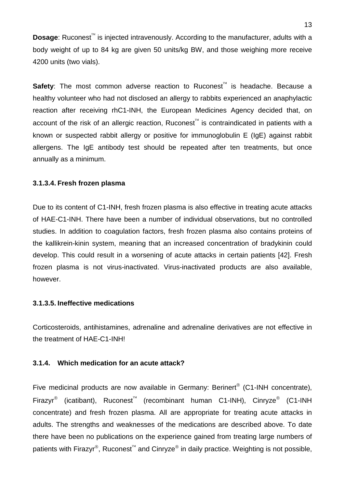**Dosage:** Ruconest<sup>™</sup> is injected intravenously. According to the manufacturer, adults with a body weight of up to 84 kg are given 50 units/kg BW, and those weighing more receive 4200 units (two vials).

**Safety**: The most common adverse reaction to Ruconest<sup> $M$ </sup> is headache. Because a healthy volunteer who had not disclosed an allergy to rabbits experienced an anaphylactic reaction after receiving rhC1-INH, the European Medicines Agency decided that, on account of the risk of an allergic reaction, Ruconest<sup>"</sup> is contraindicated in patients with a known or suspected rabbit allergy or positive for immunoglobulin E (IgE) against rabbit allergens. The IgE antibody test should be repeated after ten treatments, but once annually as a minimum.

#### **3.1.3.4. Fresh frozen plasma**

Due to its content of C1-INH, fresh frozen plasma is also effective in treating acute attacks of HAE-C1-INH. There have been a number of individual observations, but no controlled studies. In addition to coagulation factors, fresh frozen plasma also contains proteins of the kallikrein-kinin system, meaning that an increased concentration of bradykinin could develop. This could result in a worsening of acute attacks in certain patients [42]. Fresh frozen plasma is not virus-inactivated. Virus-inactivated products are also available, however.

#### **3.1.3.5. Ineffective medications**

Corticosteroids, antihistamines, adrenaline and adrenaline derivatives are not effective in the treatment of HAE-C1-INH!

#### **3.1.4. Which medication for an acute attack?**

Five medicinal products are now available in Germany: Berinert<sup>®</sup> (C1-INH concentrate), Firazyr<sup>®</sup> (icatibant), Ruconest<sup>™</sup> (recombinant human C1-INH), Cinryze<sup>®</sup> (C1-INH concentrate) and fresh frozen plasma. All are appropriate for treating acute attacks in adults. The strengths and weaknesses of the medications are described above. To date there have been no publications on the experience gained from treating large numbers of patients with Firazyr<sup>®</sup>, Ruconest<sup>™</sup> and Cinryze<sup>®</sup> in daily practice. Weighting is not possible,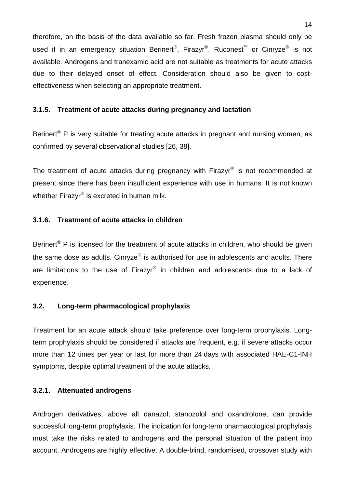therefore, on the basis of the data available so far. Fresh frozen plasma should only be used if in an emergency situation Berinert<sup>®</sup>, Firazyr<sup>®</sup>, Ruconest<sup>™</sup> or Cinryze<sup>®</sup> is not available. Androgens and tranexamic acid are not suitable as treatments for acute attacks due to their delayed onset of effect. Consideration should also be given to costeffectiveness when selecting an appropriate treatment.

### **3.1.5. Treatment of acute attacks during pregnancy and lactation**

Berinert<sup>®</sup> P is very suitable for treating acute attacks in pregnant and nursing women, as confirmed by several observational studies [26, 38].

The treatment of acute attacks during pregnancy with Firazyr<sup>®</sup> is not recommended at present since there has been insufficient experience with use in humans. It is not known whether Firazyr $^{\circ}$  is excreted in human milk.

#### **3.1.6. Treatment of acute attacks in children**

Berinert<sup>®</sup> P is licensed for the treatment of acute attacks in children, who should be given the same dose as adults. Cinryze $<sup>®</sup>$  is authorised for use in adolescents and adults. There</sup> are limitations to the use of Firazyr<sup>®</sup> in children and adolescents due to a lack of experience.

#### **3.2. Long-term pharmacological prophylaxis**

Treatment for an acute attack should take preference over long-term prophylaxis. Longterm prophylaxis should be considered if attacks are frequent, e.g. if severe attacks occur more than 12 times per year or last for more than 24 days with associated HAE-C1-INH symptoms, despite optimal treatment of the acute attacks.

#### **3.2.1. Attenuated androgens**

Androgen derivatives, above all danazol, stanozolol and oxandrolone, can provide successful long-term prophylaxis. The indication for long-term pharmacological prophylaxis must take the risks related to androgens and the personal situation of the patient into account. Androgens are highly effective. A double-blind, randomised, crossover study with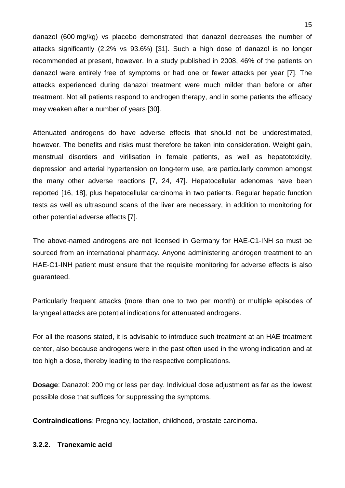danazol (600 mg/kg) vs placebo demonstrated that danazol decreases the number of attacks significantly (2.2% vs 93.6%) [31]. Such a high dose of danazol is no longer recommended at present, however. In a study published in 2008, 46% of the patients on danazol were entirely free of symptoms or had one or fewer attacks per year [7]. The attacks experienced during danazol treatment were much milder than before or after treatment. Not all patients respond to androgen therapy, and in some patients the efficacy may weaken after a number of years [30].

Attenuated androgens do have adverse effects that should not be underestimated, however. The benefits and risks must therefore be taken into consideration. Weight gain, menstrual disorders and virilisation in female patients, as well as hepatotoxicity, depression and arterial hypertension on long-term use, are particularly common amongst the many other adverse reactions [7, 24, 47]. Hepatocellular adenomas have been reported [16, 18], plus hepatocellular carcinoma in two patients. Regular hepatic function tests as well as ultrasound scans of the liver are necessary, in addition to monitoring for other potential adverse effects [7].

The above-named androgens are not licensed in Germany for HAE-C1-INH so must be sourced from an international pharmacy. Anyone administering androgen treatment to an HAE-C1-INH patient must ensure that the requisite monitoring for adverse effects is also guaranteed.

Particularly frequent attacks (more than one to two per month) or multiple episodes of laryngeal attacks are potential indications for attenuated androgens.

For all the reasons stated, it is advisable to introduce such treatment at an HAE treatment center, also because androgens were in the past often used in the wrong indication and at too high a dose, thereby leading to the respective complications.

**Dosage**: Danazol: 200 mg or less per day. Individual dose adjustment as far as the lowest possible dose that suffices for suppressing the symptoms.

**Contraindications**: Pregnancy, lactation, childhood, prostate carcinoma.

## **3.2.2. Tranexamic acid**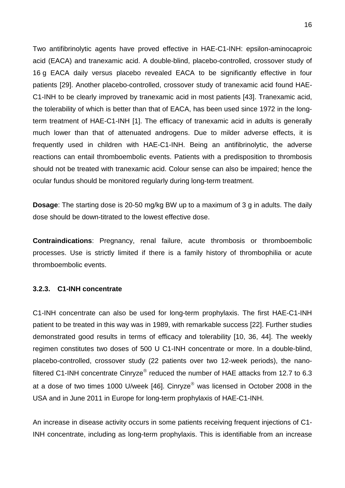Two antifibrinolytic agents have proved effective in HAE-C1-INH: epsilon-aminocaproic acid (EACA) and tranexamic acid. A double-blind, placebo-controlled, crossover study of 16 g EACA daily versus placebo revealed EACA to be significantly effective in four patients [29]. Another placebo-controlled, crossover study of tranexamic acid found HAE-C1-INH to be clearly improved by tranexamic acid in most patients [43]. Tranexamic acid, the tolerability of which is better than that of EACA, has been used since 1972 in the longterm treatment of HAE-C1-INH [1]. The efficacy of tranexamic acid in adults is generally much lower than that of attenuated androgens. Due to milder adverse effects, it is frequently used in children with HAE-C1-INH. Being an antifibrinolytic, the adverse reactions can entail thromboembolic events. Patients with a predisposition to thrombosis should not be treated with tranexamic acid. Colour sense can also be impaired; hence the ocular fundus should be monitored regularly during long-term treatment.

**Dosage**: The starting dose is 20-50 mg/kg BW up to a maximum of 3 g in adults. The daily dose should be down-titrated to the lowest effective dose.

**Contraindications**: Pregnancy, renal failure, acute thrombosis or thromboembolic processes. Use is strictly limited if there is a family history of thrombophilia or acute thromboembolic events.

#### **3.2.3. C1-INH concentrate**

C1-INH concentrate can also be used for long-term prophylaxis. The first HAE-C1-INH patient to be treated in this way was in 1989, with remarkable success [22]. Further studies demonstrated good results in terms of efficacy and tolerability [10, 36, 44]. The weekly regimen constitutes two doses of 500 U C1-INH concentrate or more. In a double-blind, placebo-controlled, crossover study (22 patients over two 12-week periods), the nanofiltered C1-INH concentrate Cinryze<sup>®</sup> reduced the number of HAE attacks from 12.7 to 6.3 at a dose of two times 1000 U/week [46]. Cinryze<sup>®</sup> was licensed in October 2008 in the USA and in June 2011 in Europe for long-term prophylaxis of HAE-C1-INH.

An increase in disease activity occurs in some patients receiving frequent injections of C1- INH concentrate, including as long-term prophylaxis. This is identifiable from an increase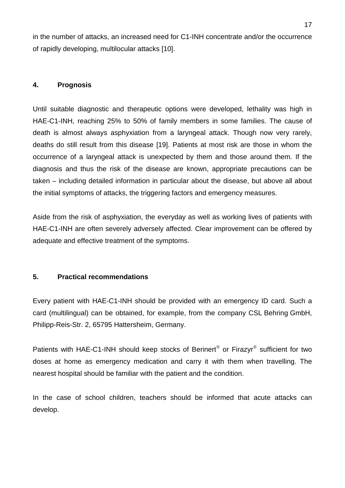in the number of attacks, an increased need for C1-INH concentrate and/or the occurrence of rapidly developing, multilocular attacks [10].

## **4. Prognosis**

Until suitable diagnostic and therapeutic options were developed, lethality was high in HAE-C1-INH, reaching 25% to 50% of family members in some families. The cause of death is almost always asphyxiation from a laryngeal attack. Though now very rarely, deaths do still result from this disease [19]. Patients at most risk are those in whom the occurrence of a laryngeal attack is unexpected by them and those around them. If the diagnosis and thus the risk of the disease are known, appropriate precautions can be taken – including detailed information in particular about the disease, but above all about the initial symptoms of attacks, the triggering factors and emergency measures.

Aside from the risk of asphyxiation, the everyday as well as working lives of patients with HAE-C1-INH are often severely adversely affected. Clear improvement can be offered by adequate and effective treatment of the symptoms.

# **5. Practical recommendations**

Every patient with HAE-C1-INH should be provided with an emergency ID card. Such a card (multilingual) can be obtained, for example, from the company CSL Behring GmbH, Philipp-Reis-Str. 2, 65795 Hattersheim, Germany.

Patients with HAE-C1-INH should keep stocks of Berinert<sup>®</sup> or Firazyr<sup>®</sup> sufficient for two doses at home as emergency medication and carry it with them when travelling. The nearest hospital should be familiar with the patient and the condition.

In the case of school children, teachers should be informed that acute attacks can develop.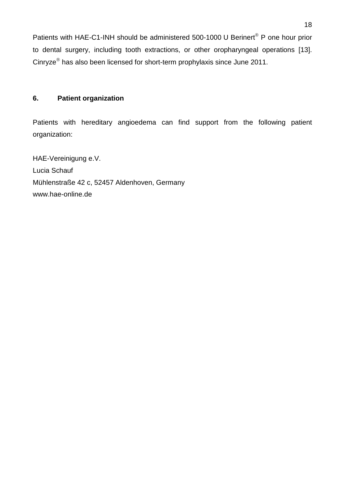Patients with HAE-C1-INH should be administered 500-1000 U Berinert<sup>®</sup> P one hour prior to dental surgery, including tooth extractions, or other oropharyngeal operations [13]. Cinryze<sup>®</sup> has also been licensed for short-term prophylaxis since June 2011.

# **6. Patient organization**

Patients with hereditary angioedema can find support from the following patient organization:

HAE-Vereinigung e.V. Lucia Schauf Mühlenstraße 42 c, 52457 Aldenhoven, Germany www.hae-online.de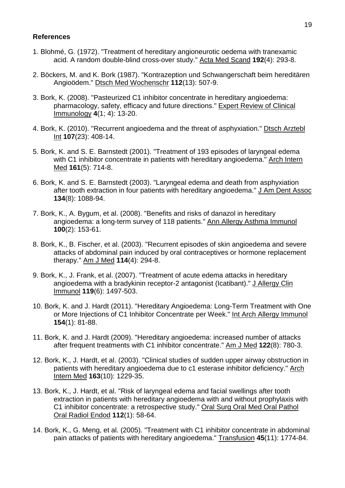#### **References**

- 1. Blohmé, G. (1972). "Treatment of hereditary angioneurotic oedema with tranexamic acid. A random double-blind cross-over study." Acta Med Scand **192**(4): 293-8.
- 2. Böckers, M. and K. Bork (1987). "Kontrazeption und Schwangerschaft beim hereditären Angioödem." Dtsch Med Wochenschr **112**(13): 507-9.
- 3. Bork, K. (2008). "Pasteurized C1 inhibitor concentrate in hereditary angioedema: pharmacology, safety, efficacy and future directions." Expert Review of Clinical Immunology **4**(1; 4): 13-20.
- 4. Bork, K. (2010). "Recurrent angioedema and the threat of asphyxiation." Disch Arztebl Int **107**(23): 408-14.
- 5. Bork, K. and S. E. Barnstedt (2001). "Treatment of 193 episodes of laryngeal edema with C1 inhibitor concentrate in patients with hereditary angioedema." Arch Intern Med **161**(5): 714-8.
- 6. Bork, K. and S. E. Barnstedt (2003). "Laryngeal edema and death from asphyxiation after tooth extraction in four patients with hereditary angioedema." J Am Dent Assoc **134**(8): 1088-94.
- 7. Bork, K., A. Bygum, et al. (2008). "Benefits and risks of danazol in hereditary angioedema: a long-term survey of 118 patients." Ann Allergy Asthma Immunol **100**(2): 153-61.
- 8. Bork, K., B. Fischer, et al. (2003). "Recurrent episodes of skin angioedema and severe attacks of abdominal pain induced by oral contraceptives or hormone replacement therapy." Am J Med **114**(4): 294-8.
- 9. Bork, K., J. Frank, et al. (2007). "Treatment of acute edema attacks in hereditary angioedema with a bradykinin receptor-2 antagonist (Icatibant)." J Allergy Clin Immunol **119**(6): 1497-503.
- 10. Bork, K. and J. Hardt (2011). "Hereditary Angioedema: Long-Term Treatment with One or More Injections of C1 Inhibitor Concentrate per Week." Int Arch Allergy Immunol **154**(1): 81-88.
- 11. Bork, K. and J. Hardt (2009). "Hereditary angioedema: increased number of attacks after frequent treatments with C1 inhibitor concentrate." Am J Med **122**(8): 780-3.
- 12. Bork, K., J. Hardt, et al. (2003). "Clinical studies of sudden upper airway obstruction in patients with hereditary angioedema due to c1 esterase inhibitor deficiency." Arch Intern Med **163**(10): 1229-35.
- 13. Bork, K., J. Hardt, et al. "Risk of laryngeal edema and facial swellings after tooth extraction in patients with hereditary angioedema with and without prophylaxis with C1 inhibitor concentrate: a retrospective study." Oral Surg Oral Med Oral Pathol Oral Radiol Endod **112**(1): 58-64.
- 14. Bork, K., G. Meng, et al. (2005). "Treatment with C1 inhibitor concentrate in abdominal pain attacks of patients with hereditary angioedema." Transfusion **45**(11): 1774-84.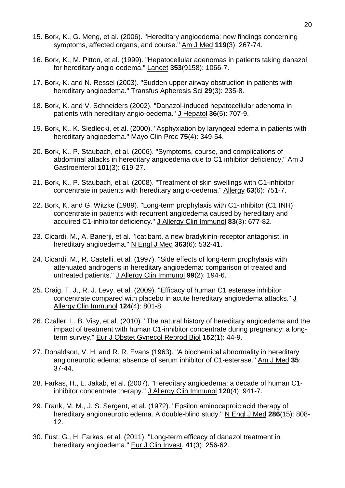- 15. Bork, K., G. Meng, et al. (2006). "Hereditary angioedema: new findings concerning symptoms, affected organs, and course." Am J Med **119**(3): 267-74.
- 16. Bork, K., M. Pitton, et al. (1999). "Hepatocellular adenomas in patients taking danazol for hereditary angio-oedema." Lancet **353**(9158): 1066-7.
- 17. Bork, K. and N. Ressel (2003). "Sudden upper airway obstruction in patients with hereditary angioedema." Transfus Apheresis Sci **29**(3): 235-8.
- 18. Bork, K. and V. Schneiders (2002). "Danazol-induced hepatocellular adenoma in patients with hereditary angio-oedema." J Hepatol 36(5): 707-9.
- 19. Bork, K., K. Siedlecki, et al. (2000). "Asphyxiation by laryngeal edema in patients with hereditary angioedema." Mayo Clin Proc **75**(4): 349-54.
- 20. Bork, K., P. Staubach, et al. (2006). "Symptoms, course, and complications of abdominal attacks in hereditary angioedema due to C1 inhibitor deficiency." Am J Gastroenterol **101**(3): 619-27.
- 21. Bork, K., P. Staubach, et al. (2008). "Treatment of skin swellings with C1-inhibitor concentrate in patients with hereditary angio-oedema." Allergy **63**(6): 751-7.
- 22. Bork, K. and G. Witzke (1989). "Long-term prophylaxis with C1-inhibitor (C1 INH) concentrate in patients with recurrent angioedema caused by hereditary and acquired C1-inhibitor deficiency." J Allergy Clin Immunol **83**(3): 677-82.
- 23. Cicardi, M., A. Banerji, et al. "Icatibant, a new bradykinin-receptor antagonist, in hereditary angioedema." N Engl J Med **363**(6): 532-41.
- 24. Cicardi, M., R. Castelli, et al. (1997). "Side effects of long-term prophylaxis with attenuated androgens in hereditary angioedema: comparison of treated and untreated patients." J Allergy Clin Immunol **99**(2): 194-6.
- 25. Craig, T. J., R. J. Levy, et al. (2009). "Efficacy of human C1 esterase inhibitor concentrate compared with placebo in acute hereditary angioedema attacks."  $\underline{J}$ Allergy Clin Immunol **124**(4): 801-8.
- 26. Czaller, I., B. Visy, et al. (2010). "The natural history of hereditary angioedema and the impact of treatment with human C1-inhibitor concentrate during pregnancy: a longterm survey." Eur J Obstet Gynecol Reprod Biol **152**(1): 44-9.
- 27. Donaldson, V. H. and R. R. Evans (1963). "A biochemical abnormality in hereditary angioneurotic edema: absence of serum inhibitor of C1-esterase." Am J Med **35**: 37-44.
- 28. Farkas, H., L. Jakab, et al. (2007). "Hereditary angioedema: a decade of human C1 inhibitor concentrate therapy." J Allergy Clin Immunol **120**(4): 941-7.
- 29. Frank, M. M., J. S. Sergent, et al. (1972). "Epsilon aminocaproic acid therapy of hereditary angioneurotic edema. A double-blind study." N Engl J Med **286**(15): 808- 12.
- 30. Fust, G., H. Farkas, et al. (2011). "Long-term efficacy of danazol treatment in hereditary angioedema." Eur J Clin Invest. **41**(3): 256-62.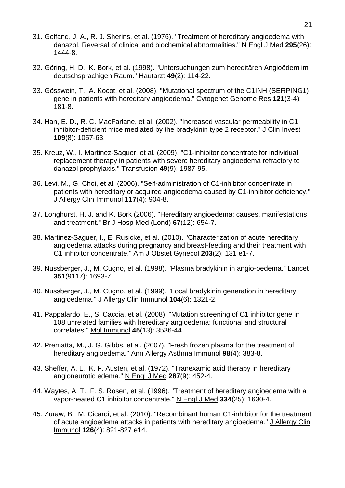- 31. Gelfand, J. A., R. J. Sherins, et al. (1976). "Treatment of hereditary angioedema with danazol. Reversal of clinical and biochemical abnormalities." N Engl J Med **295**(26): 1444-8.
- 32. Göring, H. D., K. Bork, et al. (1998). "Untersuchungen zum hereditären Angioödem im deutschsprachigen Raum." Hautarzt **49**(2): 114-22.
- 33. Gösswein, T., A. Kocot, et al. (2008). "Mutational spectrum of the C1INH (SERPING1) gene in patients with hereditary angioedema." Cytogenet Genome Res **121**(3-4): 181-8.
- 34. Han, E. D., R. C. MacFarlane, et al. (2002). "Increased vascular permeability in C1 inhibitor-deficient mice mediated by the bradykinin type 2 receptor." J Clin Invest **109**(8): 1057-63.
- 35. Kreuz, W., I. Martinez-Saguer, et al. (2009). "C1-inhibitor concentrate for individual replacement therapy in patients with severe hereditary angioedema refractory to danazol prophylaxis." Transfusion **49**(9): 1987-95.
- 36. Levi, M., G. Choi, et al. (2006). "Self-administration of C1-inhibitor concentrate in patients with hereditary or acquired angioedema caused by C1-inhibitor deficiency." J Allergy Clin Immunol **117**(4): 904-8.
- 37. Longhurst, H. J. and K. Bork (2006). "Hereditary angioedema: causes, manifestations and treatment." Br J Hosp Med (Lond) **67**(12): 654-7.
- 38. Martinez-Saguer, I., E. Rusicke, et al. (2010). "Characterization of acute hereditary angioedema attacks during pregnancy and breast-feeding and their treatment with C1 inhibitor concentrate." Am J Obstet Gynecol **203**(2): 131 e1-7.
- 39. Nussberger, J., M. Cugno, et al. (1998). "Plasma bradykinin in angio-oedema." Lancet **351**(9117): 1693-7.
- 40. Nussberger, J., M. Cugno, et al. (1999). "Local bradykinin generation in hereditary angioedema." J Allergy Clin Immunol **104**(6): 1321-2.
- 41. Pappalardo, E., S. Caccia, et al. (2008). "Mutation screening of C1 inhibitor gene in 108 unrelated families with hereditary angioedema: functional and structural correlates." Mol Immunol **45**(13): 3536-44.
- 42. Prematta, M., J. G. Gibbs, et al. (2007). "Fresh frozen plasma for the treatment of hereditary angioedema." Ann Allergy Asthma Immunol **98**(4): 383-8.
- 43. Sheffer, A. L., K. F. Austen, et al. (1972). "Tranexamic acid therapy in hereditary angioneurotic edema." N Engl J Med **287**(9): 452-4.
- 44. Waytes, A. T., F. S. Rosen, et al. (1996). "Treatment of hereditary angioedema with a vapor-heated C1 inhibitor concentrate." N Engl J Med **334**(25): 1630-4.
- 45. Zuraw, B., M. Cicardi, et al. (2010). "Recombinant human C1-inhibitor for the treatment of acute angioedema attacks in patients with hereditary angioedema." J Allergy Clin Immunol **126**(4): 821-827 e14.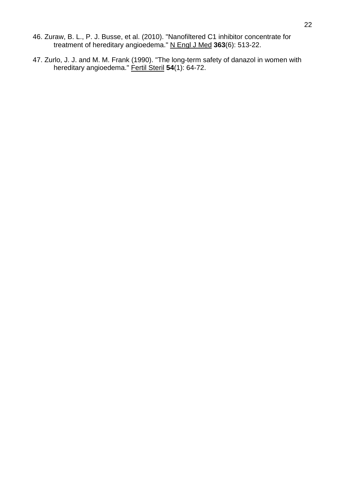- 46. Zuraw, B. L., P. J. Busse, et al. (2010). "Nanofiltered C1 inhibitor concentrate for treatment of hereditary angioedema." N Engl J Med **363**(6): 513-22.
- 47. Zurlo, J. J. and M. M. Frank (1990). "The long-term safety of danazol in women with hereditary angioedema." Fertil Steril 54(1): 64-72.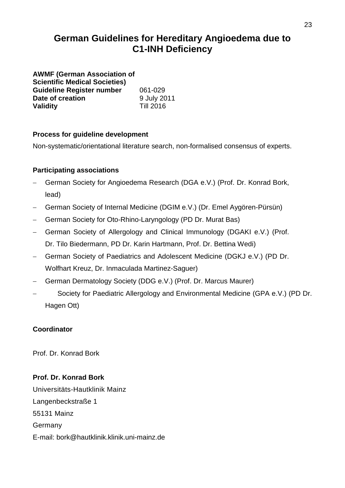# **German Guidelines for Hereditary Angioedema due to C1-INH Deficiency**

**AWMF (German Association of Scientific Medical Societies) Guideline Register number** 061-029<br>
Date of creation 9 July 2011 **Date of creation** 9 July 20<br> **Validity** Till 2016 **Validity** 

# **Process for guideline development**

Non-systematic/orientational literature search, non-formalised consensus of experts.

# **Participating associations**

- − German Society for Angioedema Research (DGA e.V.) (Prof. Dr. Konrad Bork, lead)
- − German Society of Internal Medicine (DGIM e.V.) (Dr. Emel Aygören-Pürsün)
- − German Society for Oto-Rhino-Laryngology (PD Dr. Murat Bas)
- − German Society of Allergology and Clinical Immunology (DGAKI e.V.) (Prof. Dr. Tilo Biedermann, PD Dr. Karin Hartmann, Prof. Dr. Bettina Wedi)
- − German Society of Paediatrics and Adolescent Medicine (DGKJ e.V.) (PD Dr. Wolfhart Kreuz, Dr. Inmaculada Martinez-Saguer)
- − German Dermatology Society (DDG e.V.) (Prof. Dr. Marcus Maurer)
- − Society for Paediatric Allergology and Environmental Medicine (GPA e.V.) (PD Dr. Hagen Ott)

# **Coordinator**

Prof. Dr. Konrad Bork

# **Prof. Dr. Konrad Bork**

Universitäts-Hautklinik Mainz Langenbeckstraße 1 55131 Mainz Germany E-mail: bork@hautklinik.klinik.uni-mainz.de